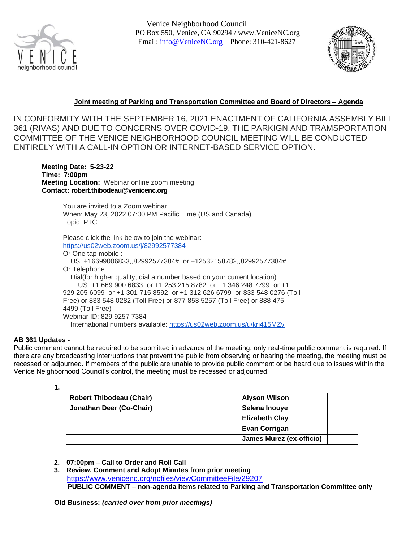

Venice Neighborhood Council PO Box 550, Venice, CA 90294 / [www.VeniceNC.org](http://www.venicenc.org/) Email: [info@VeniceNC.org](mailto:info@VeniceNC.org) Phone: 310-421-8627



# **Joint meeting of Parking and Transportation Committee and Board of Directors – Agenda**

IN CONFORMITY WITH THE SEPTEMBER 16, 2021 ENACTMENT OF CALIFORNIA ASSEMBLY BILL 361 (RIVAS) AND DUE TO CONCERNS OVER COVID-19, THE PARKIGN AND TRAMSPORTATION COMMITTEE OF THE VENICE NEIGHBORHOOD COUNCIL MEETING WILL BE CONDUCTED ENTIRELY WITH A CALL-IN OPTION OR INTERNET-BASED SERVICE OPTION.

**Meeting Date: 5-23-22 Time: 7:00pm Meeting Location:** Webinar online zoom meeting **Contact: robert.thibodeau@venicenc.org**

> You are invited to a Zoom webinar. When: May 23, 2022 07:00 PM Pacific Time (US and Canada) Topic: PTC

Please click the link below to join the webinar: <https://us02web.zoom.us/j/82992577384>

Or One tap mobile : US: +16699006833,,82992577384# or +12532158782,,82992577384# Or Telephone: Dial(for higher quality, dial a number based on your current location): US: +1 669 900 6833 or +1 253 215 8782 or +1 346 248 7799 or +1 929 205 6099 or +1 301 715 8592 or +1 312 626 6799 or 833 548 0276 (Toll Free) or 833 548 0282 (Toll Free) or 877 853 5257 (Toll Free) or 888 475 4499 (Toll Free) Webinar ID: 829 9257 7384 International numbers available: <https://us02web.zoom.us/u/krj415MZv>

# **AB 361 Updates -**

Public comment cannot be required to be submitted in advance of the meeting, only real-time public comment is required. If there are any broadcasting interruptions that prevent the public from observing or hearing the meeting, the meeting must be recessed or adjourned. If members of the public are unable to provide public comment or be heard due to issues within the Venice Neighborhood Council's control, the meeting must be recessed or adjourned.

**<sup>1.</sup>** 

| <b>Robert Thibodeau (Chair)</b> | <b>Alyson Wilson</b>     |
|---------------------------------|--------------------------|
| Jonathan Deer (Co-Chair)        | Selena Inouye            |
|                                 | <b>Elizabeth Clay</b>    |
|                                 | <b>Evan Corrigan</b>     |
|                                 | James Murez (ex-officio) |

- **2. 07:00pm – Call to Order and Roll Call**
- **3. Review, Comment and Adopt Minutes from prior meeting** <https://www.venicenc.org/ncfiles/viewCommitteeFile/29207> **PUBLIC COMMENT – non-agenda items related to Parking and Transportation Committee only**

**Old Business:** *(carried over from prior meetings)*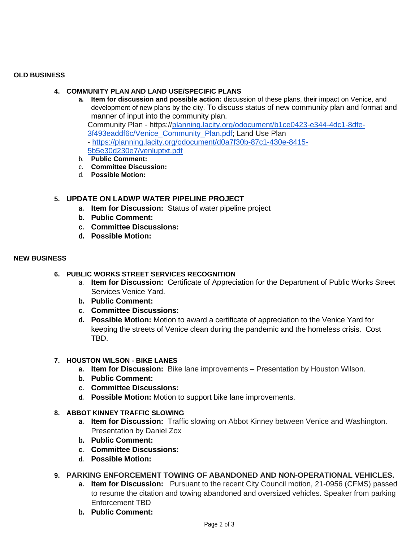#### **OLD BUSINESS**

### **4. COMMUNITY PLAN AND LAND USE/SPECIFIC PLANS**

**a. Item for discussion and possible action:** discussion of these plans, their impact on Venice, and development of new plans by the city. To discuss status of new community plan and format and manner of input into the community plan. Community Plan - https:/[/planning.lacity.org/odocument/b1ce0423-e344-4dc1-8dfe-](http://planning.lacity.org/odocument/b1ce0423-e344-4dc1-8dfe-3f493eaddf6c/Venice_Community_Plan.pdf)[3f493eaddf6c/Venice\\_Community\\_Plan.pdf;](http://planning.lacity.org/odocument/b1ce0423-e344-4dc1-8dfe-3f493eaddf6c/Venice_Community_Plan.pdf) Land Use Plan - [https://planning.lacity.org/odocument/d0a7f30b-87c1-430e-8415-](https://planning.lacity.org/odocument/d0a7f30b-87c1-430e-8415-5b5e30d230e7/venluptxt.pdf)

[5b5e30d230e7/venluptxt.pdf](https://planning.lacity.org/odocument/d0a7f30b-87c1-430e-8415-5b5e30d230e7/venluptxt.pdf)

- b. **Public Comment:**
- c. **Committee Discussion:**
- d. **Possible Motion:**

# **5. UPDATE ON LADWP WATER PIPELINE PROJECT**

- **a. Item for Discussion:** Status of water pipeline project
- **b. Public Comment:**
- **c. Committee Discussions:**
- **d. Possible Motion:**

#### **NEW BUSINESS**

### **6. PUBLIC WORKS STREET SERVICES RECOGNITION**

- a. **Item for Discussion:** Certificate of Appreciation for the Department of Public Works Street Services Venice Yard.
- **b. Public Comment:**
- **c. Committee Discussions:**
- **d. Possible Motion:** Motion to award a certificate of appreciation to the Venice Yard for keeping the streets of Venice clean during the pandemic and the homeless crisis. Cost TBD.

#### **7. HOUSTON WILSON - BIKE LANES**

- **a. Item for Discussion:** Bike lane improvements Presentation by Houston Wilson.
- **b. Public Comment:**
- **c. Committee Discussions:**
- **d. Possible Motion:** Motion to support bike lane improvements.

#### **8. ABBOT KINNEY TRAFFIC SLOWING**

- **a. Item for Discussion:** Traffic slowing on Abbot Kinney between Venice and Washington. Presentation by Daniel Zox
- **b. Public Comment:**
- **c. Committee Discussions:**
- **d. Possible Motion:**

# **9. PARKING ENFORCEMENT TOWING OF ABANDONED AND NON-OPERATIONAL VEHICLES.**

- **a. Item for Discussion:** Pursuant to the recent City Council motion, 21-0956 (CFMS) passed to resume the citation and towing abandoned and oversized vehicles. Speaker from parking Enforcement TBD
- **b. Public Comment:**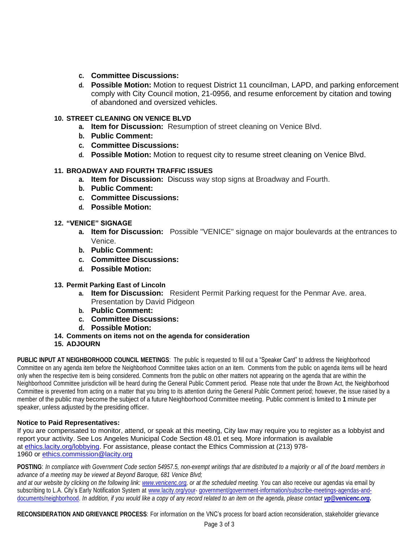- **c. Committee Discussions:**
- **d. Possible Motion:** Motion to request District 11 councilman, LAPD, and parking enforcement comply with City Council motion, 21-0956, and resume enforcement by citation and towing of abandoned and oversized vehicles.

# **10. STREET CLEANING ON VENICE BLVD**

- **a. Item for Discussion:** Resumption of street cleaning on Venice Blvd.
- **b. Public Comment:**
- **c. Committee Discussions:**
- **d. Possible Motion:** Motion to request city to resume street cleaning on Venice Blvd.

### **11. BROADWAY AND FOURTH TRAFFIC ISSUES**

- **a. Item for Discussion:** Discuss way stop signs at Broadway and Fourth.
- **b. Public Comment:**
- **c. Committee Discussions:**
- **d. Possible Motion:**

#### **12. "VENICE" SIGNAGE**

- **a. Item for Discussion:** Possible "VENICE" signage on major boulevards at the entrances to Venice.
- **b. Public Comment:**
- **c. Committee Discussions:**
- **d. Possible Motion:**

#### **13. Permit Parking East of Lincoln**

- **a. Item for Discussion:** Resident Permit Parking request for the Penmar Ave. area. Presentation by David Pidgeon
- **b. Public Comment:**
- **c. Committee Discussions:**
- **d. Possible Motion:**
- **14. Comments on items not on the agenda for consideration**
- **15. ADJOURN**

**PUBLIC INPUT AT NEIGHBORHOOD COUNCIL MEETINGS**: The public is requested to fill out a "Speaker Card" to address the Neighborhood Committee on any agenda item before the Neighborhood Committee takes action on an item. Comments from the public on agenda items will be heard only when the respective item is being considered. Comments from the public on other matters not appearing on the agenda that are within the Neighborhood Committee jurisdiction will be heard during the General Public Comment period. Please note that under the Brown Act, the Neighborhood Committee is prevented from acting on a matter that you bring to its attention during the General Public Comment period; however, the issue raised by a member of the public may become the subject of a future Neighborhood Committee meeting. Public comment is limited to **1** minute per speaker, unless adjusted by the presiding officer.

#### **Notice to Paid Representatives:**

If you are compensated to monitor, attend, or speak at this meeting, City law may require you to register as a lobbyist and report your activity. See Los Angeles Municipal Code Section 48.01 et seq. More information is available at [ethics.lacity.org/lobbying.](http://ethics.lacity.org/lobbying) For assistance, please contact the Ethics Commission at (213) 978 1960 or [ethics.commission@lacity.org](mailto:ethics.commission@lacity.org)

POSTING: In compliance with Government Code section 54957.5, non-exempt writings that are distributed to a majority or all of the board members in *advance of a meeting may be viewed at Beyond Baroque, 681 Venice Blvd;*

and at our website by clicking on the following link: [www.venicenc.org,](http://www.venicenc.org/) or at the scheduled meeting. You can also receive our agendas via email by subscribing to L.A. City's Early Notification System at [www.lacity.org/your-](http://www.lacity.org/your-)government/government-information/subscribe-meetings-agendas-anddocuments/neighborhood. In addition, if you would like a copy of any record related to an item on the agenda, please contact [vp@venicenc.org.](mailto:vp@venicenc.org)

**RECONSIDERATION AND GRIEVANCE PROCESS**: For information on the VNC's process for board action reconsideration, stakeholder grievance